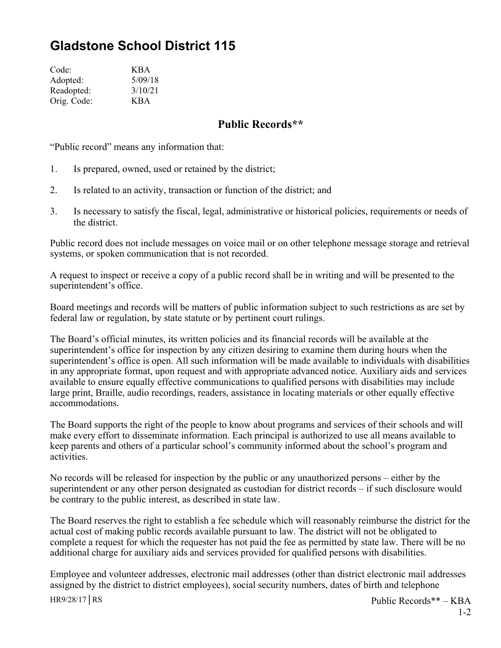## **Gladstone School District 115**

| Code:       | <b>KBA</b> |
|-------------|------------|
| Adopted:    | 5/09/18    |
| Readopted:  | 3/10/21    |
| Orig. Code: | KBA        |

## **Public Records\*\***

"Public record" means any information that:

- 1. Is prepared, owned, used or retained by the district;
- 2. Is related to an activity, transaction or function of the district; and
- 3. Is necessary to satisfy the fiscal, legal, administrative or historical policies, requirements or needs of the district.

Public record does not include messages on voice mail or on other telephone message storage and retrieval systems, or spoken communication that is not recorded.

A request to inspect or receive a copy of a public record shall be in writing and will be presented to the superintendent's office.

Board meetings and records will be matters of public information subject to such restrictions as are set by federal law or regulation, by state statute or by pertinent court rulings.

The Board's official minutes, its written policies and its financial records will be available at the superintendent's office for inspection by any citizen desiring to examine them during hours when the superintendent's office is open. All such information will be made available to individuals with disabilities in any appropriate format, upon request and with appropriate advanced notice. Auxiliary aids and services available to ensure equally effective communications to qualified persons with disabilities may include large print, Braille, audio recordings, readers, assistance in locating materials or other equally effective accommodations.

The Board supports the right of the people to know about programs and services of their schools and will make every effort to disseminate information. Each principal is authorized to use all means available to keep parents and others of a particular school's community informed about the school's program and activities.

No records will be released for inspection by the public or any unauthorized persons – either by the superintendent or any other person designated as custodian for district records – if such disclosure would be contrary to the public interest, as described in state law.

The Board reserves the right to establish a fee schedule which will reasonably reimburse the district for the actual cost of making public records available pursuant to law. The district will not be obligated to complete a request for which the requester has not paid the fee as permitted by state law. There will be no additional charge for auxiliary aids and services provided for qualified persons with disabilities.

Employee and volunteer addresses, electronic mail addresses (other than district electronic mail addresses assigned by the district to district employees), social security numbers, dates of birth and telephone

HR9/28/17│RS Public Records\*\* – KBA 1-2